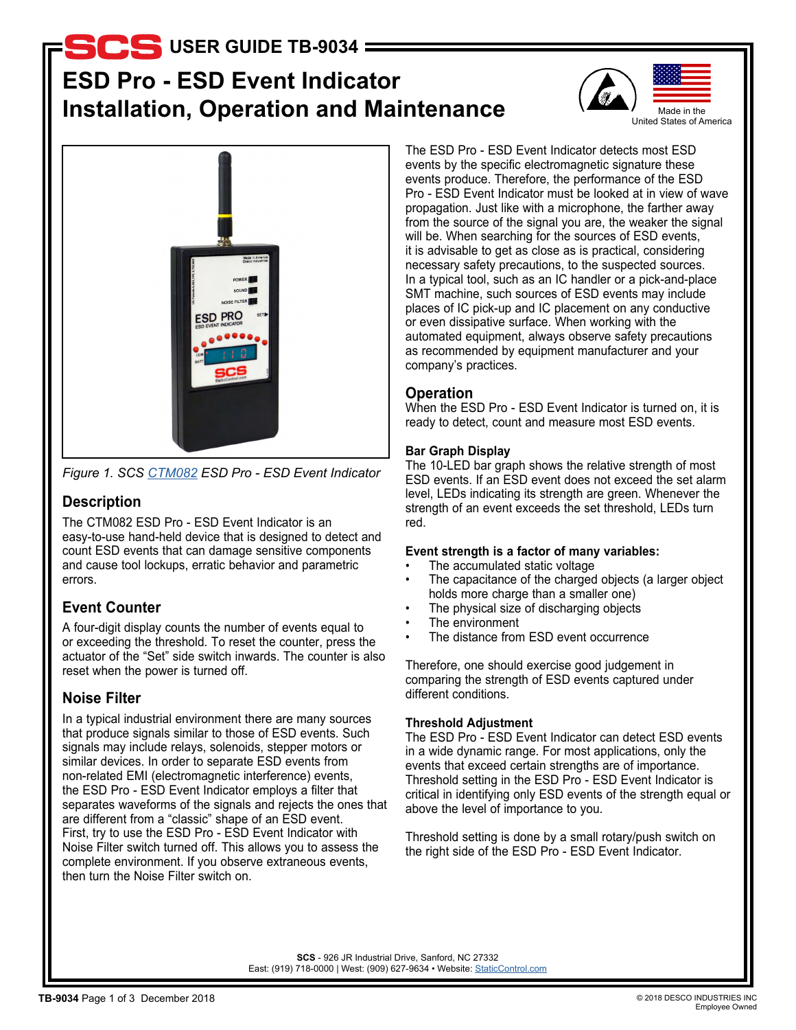**USER GUIDE TB-9034**

# **ESD Pro - ESD Event Indicator Installation, Operation and Maintenance**





*Figure 1. SCS [CTM082](http://staticcontrol.descoindustries.com/SCSCatalog/Test-Instruments/ESD-Pro-Event-Indicator/CTM082/) ESD Pro - ESD Event Indicator*

# **Description**

The CTM082 ESD Pro - ESD Event Indicator is an easy-to-use hand-held device that is designed to detect and count ESD events that can damage sensitive components and cause tool lockups, erratic behavior and parametric errors.

# **Event Counter**

A four-digit display counts the number of events equal to or exceeding the threshold. To reset the counter, press the actuator of the "Set" side switch inwards. The counter is also reset when the power is turned off.

# **Noise Filter**

In a typical industrial environment there are many sources that produce signals similar to those of ESD events. Such signals may include relays, solenoids, stepper motors or similar devices. In order to separate ESD events from non-related EMI (electromagnetic interference) events, the ESD Pro - ESD Event Indicator employs a filter that separates waveforms of the signals and rejects the ones that are different from a "classic" shape of an ESD event. First, try to use the ESD Pro - ESD Event Indicator with Noise Filter switch turned off. This allows you to assess the complete environment. If you observe extraneous events, then turn the Noise Filter switch on.

The ESD Pro - ESD Event Indicator detects most ESD events by the specific electromagnetic signature these events produce. Therefore, the performance of the ESD Pro - ESD Event Indicator must be looked at in view of wave propagation. Just like with a microphone, the farther away from the source of the signal you are, the weaker the signal will be. When searching for the sources of ESD events, it is advisable to get as close as is practical, considering necessary safety precautions, to the suspected sources. In a typical tool, such as an IC handler or a pick-and-place SMT machine, such sources of ESD events may include places of IC pick-up and IC placement on any conductive or even dissipative surface. When working with the automated equipment, always observe safety precautions as recommended by equipment manufacturer and your company's practices.

# **Operation**

When the ESD Pro - ESD Event Indicator is turned on, it is ready to detect, count and measure most ESD events.

## **Bar Graph Display**

The 10-LED bar graph shows the relative strength of most ESD events. If an ESD event does not exceed the set alarm level, LEDs indicating its strength are green. Whenever the strength of an event exceeds the set threshold, LEDs turn red.

## **Event strength is a factor of many variables:**

- The accumulated static voltage
- The capacitance of the charged objects (a larger object holds more charge than a smaller one)
- The physical size of discharging objects
- The environment
- The distance from ESD event occurrence

Therefore, one should exercise good judgement in comparing the strength of ESD events captured under different conditions.

## **Threshold Adjustment**

The ESD Pro - ESD Event Indicator can detect ESD events in a wide dynamic range. For most applications, only the events that exceed certain strengths are of importance. Threshold setting in the ESD Pro - ESD Event Indicator is critical in identifying only ESD events of the strength equal or above the level of importance to you.

Threshold setting is done by a small rotary/push switch on the right side of the ESD Pro - ESD Event Indicator.

**SCS** - 926 JR Industrial Drive, Sanford, NC 27332 East: (919) 718-0000 | West: (909) 627-9634 • Website: [StaticControl.com](http://staticcontrol.descoindustries.com/)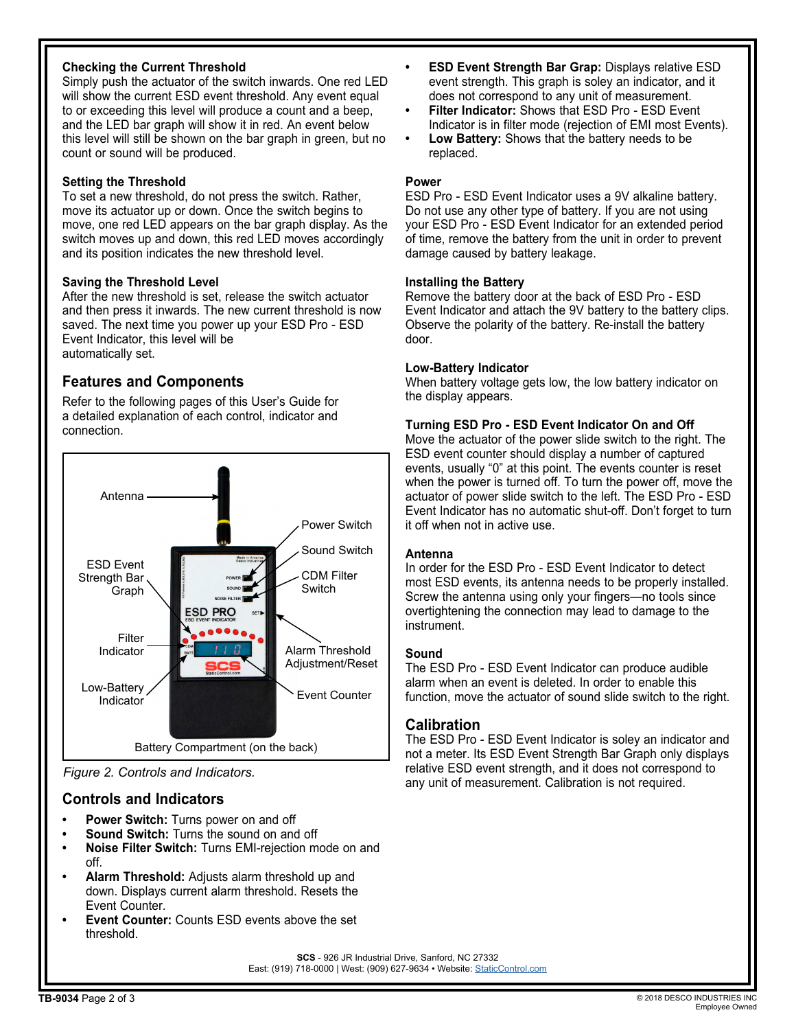### **Checking the Current Threshold**

Simply push the actuator of the switch inwards. One red LED will show the current ESD event threshold. Any event equal to or exceeding this level will produce a count and a beep, and the LED bar graph will show it in red. An event below this level will still be shown on the bar graph in green, but no count or sound will be produced.

#### **Setting the Threshold**

To set a new threshold, do not press the switch. Rather, move its actuator up or down. Once the switch begins to move, one red LED appears on the bar graph display. As the switch moves up and down, this red LED moves accordingly and its position indicates the new threshold level.

#### **Saving the Threshold Level**

After the new threshold is set, release the switch actuator and then press it inwards. The new current threshold is now saved. The next time you power up your ESD Pro - ESD Event Indicator, this level will be automatically set.

# **Features and Components**

Refer to the following pages of this User's Guide for a detailed explanation of each control, indicator and connection.



*Figure 2. Controls and Indicators.*

## **Controls and Indicators**

- **• Power Switch:** Turns power on and off
- **• Sound Switch:** Turns the sound on and off
- **• Noise Filter Switch:** Turns EMI-rejection mode on and off.
- **• Alarm Threshold:** Adjusts alarm threshold up and down. Displays current alarm threshold. Resets the Event Counter.
- **• Event Counter:** Counts ESD events above the set threshold.
- **• ESD Event Strength Bar Grap:** Displays relative ESD event strength. This graph is soley an indicator, and it does not correspond to any unit of measurement.
- **• Filter Indicator:** Shows that ESD Pro ESD Event Indicator is in filter mode (rejection of EMI most Events).
- **• Low Battery:** Shows that the battery needs to be replaced.

#### **Power**

ESD Pro - ESD Event Indicator uses a 9V alkaline battery. Do not use any other type of battery. If you are not using your ESD Pro - ESD Event Indicator for an extended period of time, remove the battery from the unit in order to prevent damage caused by battery leakage.

#### **Installing the Battery**

Remove the battery door at the back of ESD Pro - ESD Event Indicator and attach the 9V battery to the battery clips. Observe the polarity of the battery. Re-install the battery door.

#### **Low-Battery Indicator**

When battery voltage gets low, the low battery indicator on the display appears.

#### **Turning ESD Pro - ESD Event Indicator On and Off**

Move the actuator of the power slide switch to the right. The ESD event counter should display a number of captured events, usually "0" at this point. The events counter is reset when the power is turned off. To turn the power off, move the actuator of power slide switch to the left. The ESD Pro - ESD Event Indicator has no automatic shut-off. Don't forget to turn it off when not in active use.

#### **Antenna**

In order for the ESD Pro - ESD Event Indicator to detect most ESD events, its antenna needs to be properly installed. Screw the antenna using only your fingers—no tools since overtightening the connection may lead to damage to the instrument.

#### **Sound**

The ESD Pro - ESD Event Indicator can produce audible alarm when an event is deleted. In order to enable this function, move the actuator of sound slide switch to the right.

## **Calibration**

The ESD Pro - ESD Event Indicator is soley an indicator and not a meter. Its ESD Event Strength Bar Graph only displays relative ESD event strength, and it does not correspond to any unit of measurement. Calibration is not required.

**SCS** - 926 JR Industrial Drive, Sanford, NC 27332 East: (919) 718-0000 | West: (909) 627-9634 • Website: [StaticControl.com](http://staticcontrol.descoindustries.com/)